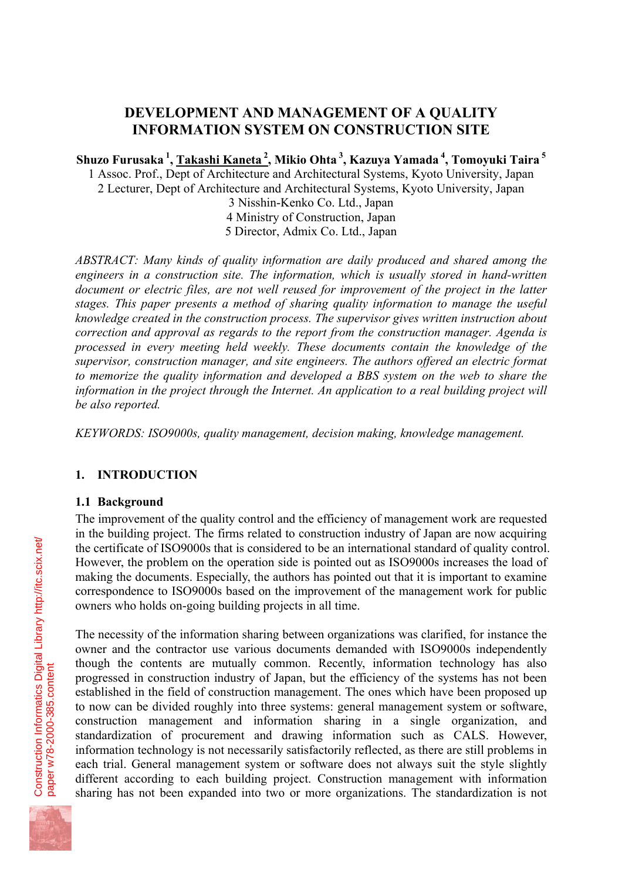# **DEVELOPMENT AND MANAGEMENT OF A QUALITY INFORMATION SYSTEM ON CONSTRUCTION SITE**

**Shuzo Furusaka 1, Takashi Kaneta 2, Mikio Ohta 3, Kazuya Yamada 4, Tomoyuki Taira 5**

1 Assoc. Prof., Dept of Architecture and Architectural Systems, Kyoto University, Japan 2 Lecturer, Dept of Architecture and Architectural Systems, Kyoto University, Japan

3 Nisshin-Kenko Co. Ltd., Japan 4 Ministry of Construction, Japan

5 Director, Admix Co. Ltd., Japan

*ABSTRACT: Many kinds of quality information are daily produced and shared among the engineers in a construction site. The information, which is usually stored in hand-written document or electric files, are not well reused for improvement of the project in the latter stages. This paper presents a method of sharing quality information to manage the useful knowledge created in the construction process. The supervisor gives written instruction about correction and approval as regards to the report from the construction manager. Agenda is processed in every meeting held weekly. These documents contain the knowledge of the supervisor, construction manager, and site engineers. The authors offered an electric format to memorize the quality information and developed a BBS system on the web to share the information in the project through the Internet. An application to a real building project will be also reported.*

*KEYWORDS: ISO9000s, quality management, decision making, knowledge management.* 

## **1. INTRODUCTION**

## **1.1 Background**

The improvement of the quality control and the efficiency of management work are requested in the building project. The firms related to construction industry of Japan are now acquiring the certificate of ISO9000s that is considered to be an international standard of quality control. However, the problem on the operation side is pointed out as ISO9000s increases the load of making the documents. Especially, the authors has pointed out that it is important to examine correspondence to ISO9000s based on the improvement of the management work for public owners who holds on-going building projects in all time.

The necessity of the information sharing between organizations was clarified, for instance the owner and the contractor use various documents demanded with ISO9000s independently though the contents are mutually common. Recently, information technology has also progressed in construction industry of Japan, but the efficiency of the systems has not been established in the field of construction management. The ones which have been proposed up to now can be divided roughly into three systems: general management system or software, construction management and information sharing in a single organization, and standardization of procurement and drawing information such as CALS. However, information technology is not necessarily satisfactorily reflected, as there are still problems in each trial. General management system or software does not always suit the style slightly different according to each building project. Construction management with information sharing has not been expanded into two or more organizations. The standardization is not

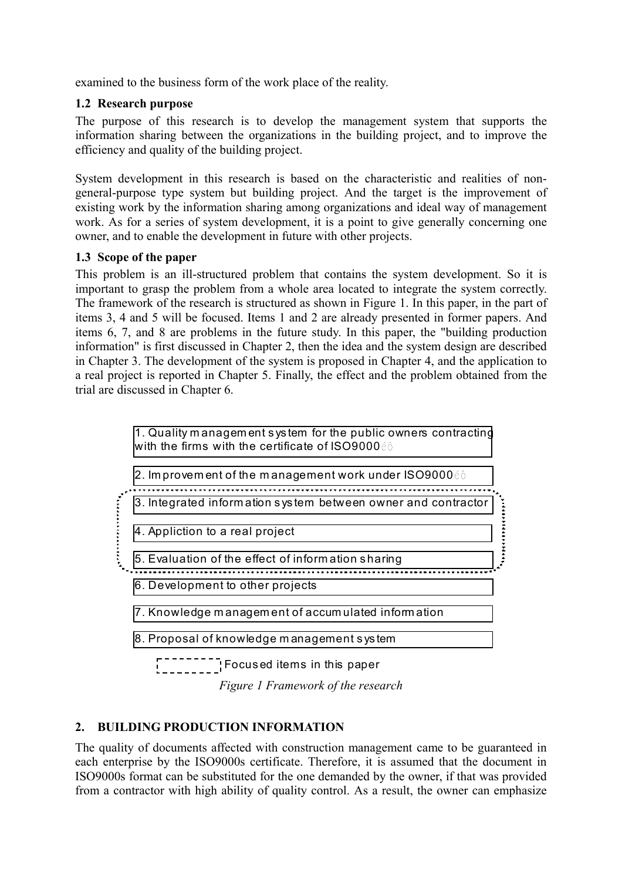examined to the business form of the work place of the reality.

## **1.2 Research purpose**

The purpose of this research is to develop the management system that supports the information sharing between the organizations in the building project, and to improve the efficiency and quality of the building project.

System development in this research is based on the characteristic and realities of nongeneral-purpose type system but building project. And the target is the improvement of existing work by the information sharing among organizations and ideal way of management work. As for a series of system development, it is a point to give generally concerning one owner, and to enable the development in future with other projects.

## **1.3 Scope of the paper**

This problem is an ill-structured problem that contains the system development. So it is important to grasp the problem from a whole area located to integrate the system correctly. The framework of the research is structured as shown in Figure 1. In this paper, in the part of items 3, 4 and 5 will be focused. Items 1 and 2 are already presented in former papers. And items 6, 7, and 8 are problems in the future study. In this paper, the "building production information" is first discussed in Chapter 2, then the idea and the system design are described in Chapter 3. The development of the system is proposed in Chapter 4, and the application to a real project is reported in Chapter 5. Finally, the effect and the problem obtained from the trial are discussed in Chapter 6.



*Figure 1 Framework of the research* 

# **2. BUILDING PRODUCTION INFORMATION**

The quality of documents affected with construction management came to be guaranteed in each enterprise by the ISO9000s certificate. Therefore, it is assumed that the document in ISO9000s format can be substituted for the one demanded by the owner, if that was provided from a contractor with high ability of quality control. As a result, the owner can emphasize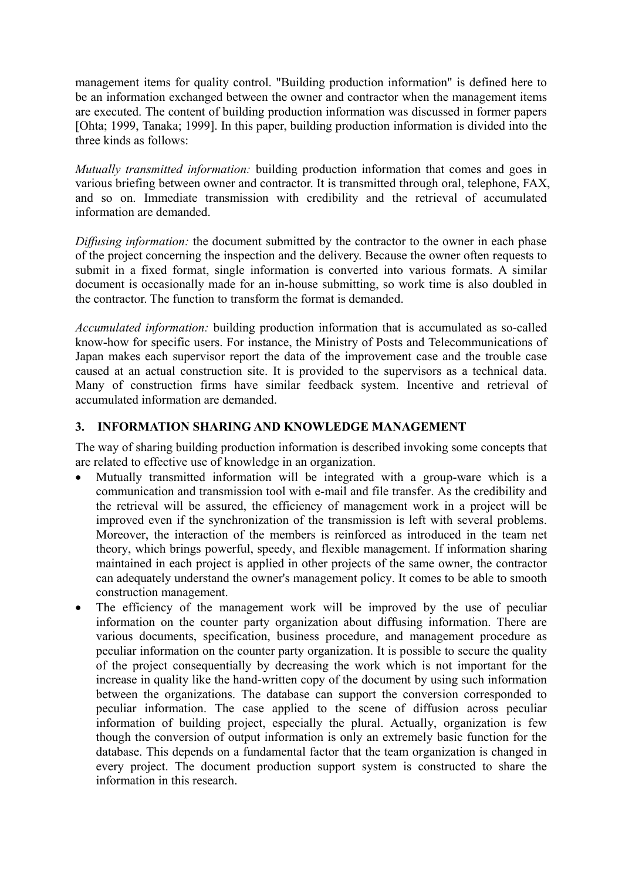management items for quality control. "Building production information" is defined here to be an information exchanged between the owner and contractor when the management items are executed. The content of building production information was discussed in former papers [Ohta; 1999, Tanaka; 1999]. In this paper, building production information is divided into the three kinds as follows:

*Mutually transmitted information:* building production information that comes and goes in various briefing between owner and contractor. It is transmitted through oral, telephone, FAX, and so on. Immediate transmission with credibility and the retrieval of accumulated information are demanded.

*Diffusing information:* the document submitted by the contractor to the owner in each phase of the project concerning the inspection and the delivery. Because the owner often requests to submit in a fixed format, single information is converted into various formats. A similar document is occasionally made for an in-house submitting, so work time is also doubled in the contractor. The function to transform the format is demanded.

*Accumulated information:* building production information that is accumulated as so-called know-how for specific users. For instance, the Ministry of Posts and Telecommunications of Japan makes each supervisor report the data of the improvement case and the trouble case caused at an actual construction site. It is provided to the supervisors as a technical data. Many of construction firms have similar feedback system. Incentive and retrieval of accumulated information are demanded.

## **3. INFORMATION SHARING AND KNOWLEDGE MANAGEMENT**

The way of sharing building production information is described invoking some concepts that are related to effective use of knowledge in an organization.

- Mutually transmitted information will be integrated with a group-ware which is a communication and transmission tool with e-mail and file transfer. As the credibility and the retrieval will be assured, the efficiency of management work in a project will be improved even if the synchronization of the transmission is left with several problems. Moreover, the interaction of the members is reinforced as introduced in the team net theory, which brings powerful, speedy, and flexible management. If information sharing maintained in each project is applied in other projects of the same owner, the contractor can adequately understand the owner's management policy. It comes to be able to smooth construction management.
- The efficiency of the management work will be improved by the use of peculiar information on the counter party organization about diffusing information. There are various documents, specification, business procedure, and management procedure as peculiar information on the counter party organization. It is possible to secure the quality of the project consequentially by decreasing the work which is not important for the increase in quality like the hand-written copy of the document by using such information between the organizations. The database can support the conversion corresponded to peculiar information. The case applied to the scene of diffusion across peculiar information of building project, especially the plural. Actually, organization is few though the conversion of output information is only an extremely basic function for the database. This depends on a fundamental factor that the team organization is changed in every project. The document production support system is constructed to share the information in this research.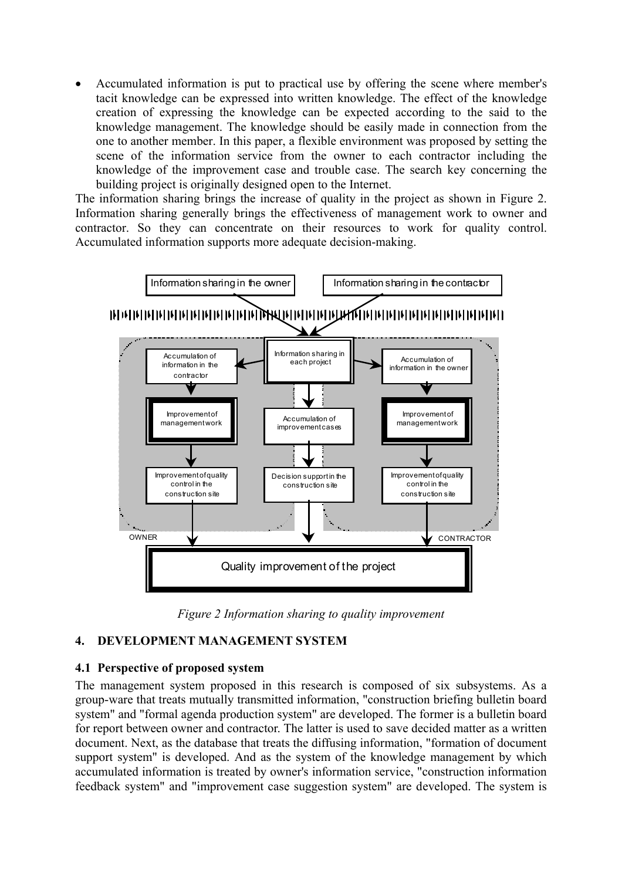Accumulated information is put to practical use by offering the scene where member's tacit knowledge can be expressed into written knowledge. The effect of the knowledge creation of expressing the knowledge can be expected according to the said to the knowledge management. The knowledge should be easily made in connection from the one to another member. In this paper, a flexible environment was proposed by setting the scene of the information service from the owner to each contractor including the knowledge of the improvement case and trouble case. The search key concerning the building project is originally designed open to the Internet. •

The information sharing brings the increase of quality in the project as shown in Figure 2. Information sharing generally brings the effectiveness of management work to owner and contractor. So they can concentrate on their resources to work for quality control. Accumulated information supports more adequate decision-making.



*Figure 2 Information sharing to quality improvement* 

## **4. DEVELOPMENT MANAGEMENT SYSTEM**

## **4.1 Perspective of proposed system**

The management system proposed in this research is composed of six subsystems. As a group-ware that treats mutually transmitted information, "construction briefing bulletin board system" and "formal agenda production system" are developed. The former is a bulletin board for report between owner and contractor. The latter is used to save decided matter as a written document. Next, as the database that treats the diffusing information, "formation of document support system" is developed. And as the system of the knowledge management by which accumulated information is treated by owner's information service, "construction information feedback system" and "improvement case suggestion system" are developed. The system is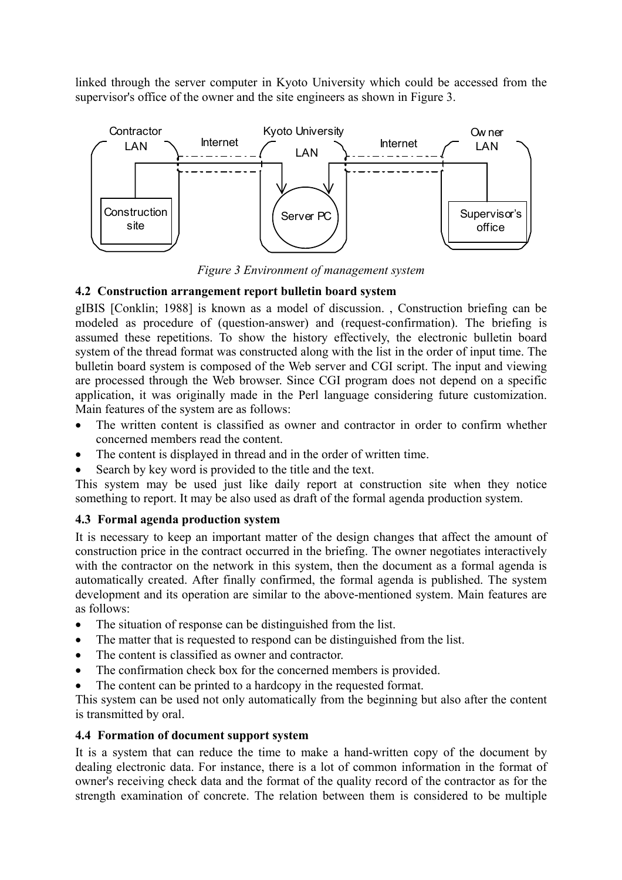linked through the server computer in Kyoto University which could be accessed from the supervisor's office of the owner and the site engineers as shown in Figure 3.



*Figure 3 Environment of management system* 

## **4.2 Construction arrangement report bulletin board system**

gIBIS [Conklin; 1988] is known as a model of discussion. , Construction briefing can be modeled as procedure of (question-answer) and (request-confirmation). The briefing is assumed these repetitions. To show the history effectively, the electronic bulletin board system of the thread format was constructed along with the list in the order of input time. The bulletin board system is composed of the Web server and CGI script. The input and viewing are processed through the Web browser. Since CGI program does not depend on a specific application, it was originally made in the Perl language considering future customization. Main features of the system are as follows:

- The written content is classified as owner and contractor in order to confirm whether concerned members read the content. •
- The content is displayed in thread and in the order of written time.
- Search by key word is provided to the title and the text.

This system may be used just like daily report at construction site when they notice something to report. It may be also used as draft of the formal agenda production system.

## **4.3 Formal agenda production system**

It is necessary to keep an important matter of the design changes that affect the amount of construction price in the contract occurred in the briefing. The owner negotiates interactively with the contractor on the network in this system, then the document as a formal agenda is automatically created. After finally confirmed, the formal agenda is published. The system development and its operation are similar to the above-mentioned system. Main features are as follows:

- The situation of response can be distinguished from the list.
- The matter that is requested to respond can be distinguished from the list.
- The content is classified as owner and contractor.
- The confirmation check box for the concerned members is provided.
- The content can be printed to a hardcopy in the requested format.

This system can be used not only automatically from the beginning but also after the content is transmitted by oral.

## **4.4 Formation of document support system**

It is a system that can reduce the time to make a hand-written copy of the document by dealing electronic data. For instance, there is a lot of common information in the format of owner's receiving check data and the format of the quality record of the contractor as for the strength examination of concrete. The relation between them is considered to be multiple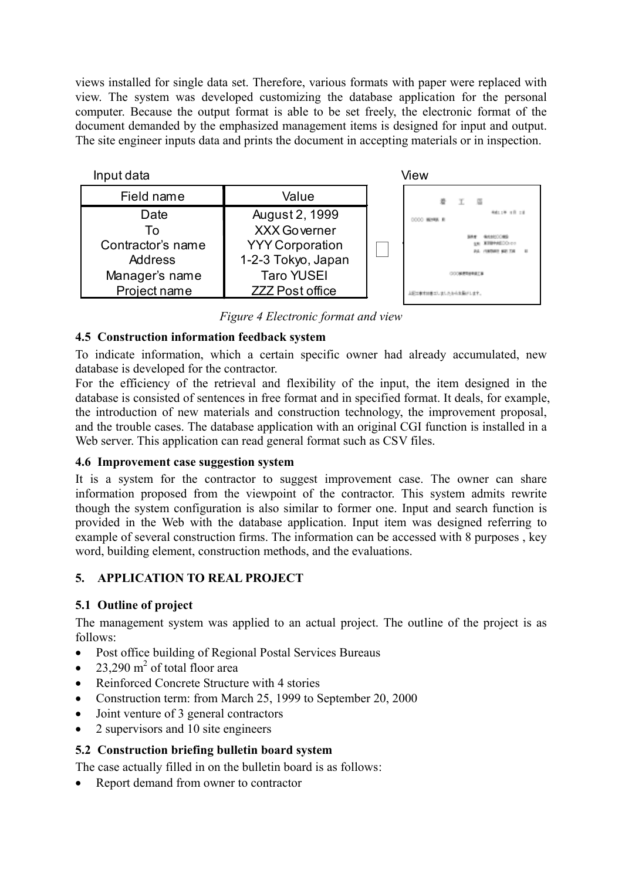views installed for single data set. Therefore, various formats with paper were replaced with view. The system was developed customizing the database application for the personal computer. Because the output format is able to be set freely, the electronic format of the document demanded by the emphasized management items is designed for input and output. The site engineer inputs data and prints the document in accepting materials or in inspection.



*Figure 4 Electronic format and view* 

## **4.5 Construction information feedback system**

To indicate information, which a certain specific owner had already accumulated, new database is developed for the contractor.

For the efficiency of the retrieval and flexibility of the input, the item designed in the database is consisted of sentences in free format and in specified format. It deals, for example, the introduction of new materials and construction technology, the improvement proposal, and the trouble cases. The database application with an original CGI function is installed in a Web server. This application can read general format such as CSV files.

## **4.6 Improvement case suggestion system**

It is a system for the contractor to suggest improvement case. The owner can share information proposed from the viewpoint of the contractor. This system admits rewrite though the system configuration is also similar to former one. Input and search function is provided in the Web with the database application. Input item was designed referring to example of several construction firms. The information can be accessed with 8 purposes , key word, building element, construction methods, and the evaluations.

## **5. APPLICATION TO REAL PROJECT**

## **5.1 Outline of project**

The management system was applied to an actual project. The outline of the project is as follows:

- Post office building of Regional Postal Services Bureaus
- 23,290  $m^2$  of total floor area
- Reinforced Concrete Structure with 4 stories
- Construction term: from March 25, 1999 to September 20, 2000
- Joint venture of 3 general contractors
- $\bullet$ 2 supervisors and 10 site engineers

## **5.2 Construction briefing bulletin board system**

The case actually filled in on the bulletin board is as follows:

• Report demand from owner to contractor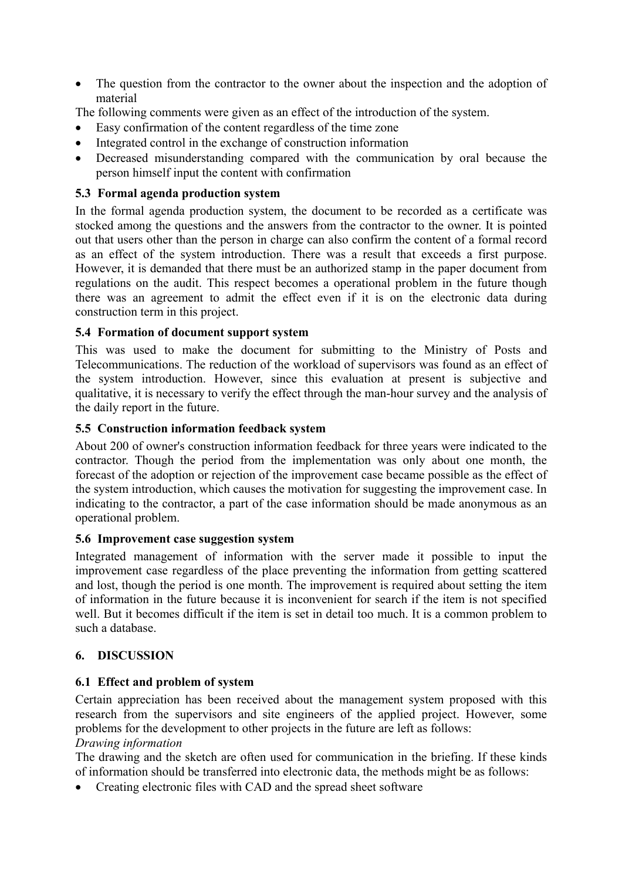• The question from the contractor to the owner about the inspection and the adoption of material

The following comments were given as an effect of the introduction of the system.

- Easy confirmation of the content regardless of the time zone
- Integrated control in the exchange of construction information
- Decreased misunderstanding compared with the communication by oral because the person himself input the content with confirmation

## **5.3 Formal agenda production system**

In the formal agenda production system, the document to be recorded as a certificate was stocked among the questions and the answers from the contractor to the owner. It is pointed out that users other than the person in charge can also confirm the content of a formal record as an effect of the system introduction. There was a result that exceeds a first purpose. However, it is demanded that there must be an authorized stamp in the paper document from regulations on the audit. This respect becomes a operational problem in the future though there was an agreement to admit the effect even if it is on the electronic data during construction term in this project.

## **5.4 Formation of document support system**

This was used to make the document for submitting to the Ministry of Posts and Telecommunications. The reduction of the workload of supervisors was found as an effect of the system introduction. However, since this evaluation at present is subjective and qualitative, it is necessary to verify the effect through the man-hour survey and the analysis of the daily report in the future.

## **5.5 Construction information feedback system**

About 200 of owner's construction information feedback for three years were indicated to the contractor. Though the period from the implementation was only about one month, the forecast of the adoption or rejection of the improvement case became possible as the effect of the system introduction, which causes the motivation for suggesting the improvement case. In indicating to the contractor, a part of the case information should be made anonymous as an operational problem.

## **5.6 Improvement case suggestion system**

Integrated management of information with the server made it possible to input the improvement case regardless of the place preventing the information from getting scattered and lost, though the period is one month. The improvement is required about setting the item of information in the future because it is inconvenient for search if the item is not specified well. But it becomes difficult if the item is set in detail too much. It is a common problem to such a database.

## **6. DISCUSSION**

## **6.1 Effect and problem of system**

Certain appreciation has been received about the management system proposed with this research from the supervisors and site engineers of the applied project. However, some problems for the development to other projects in the future are left as follows:

*Drawing information* 

The drawing and the sketch are often used for communication in the briefing. If these kinds of information should be transferred into electronic data, the methods might be as follows:

• Creating electronic files with CAD and the spread sheet software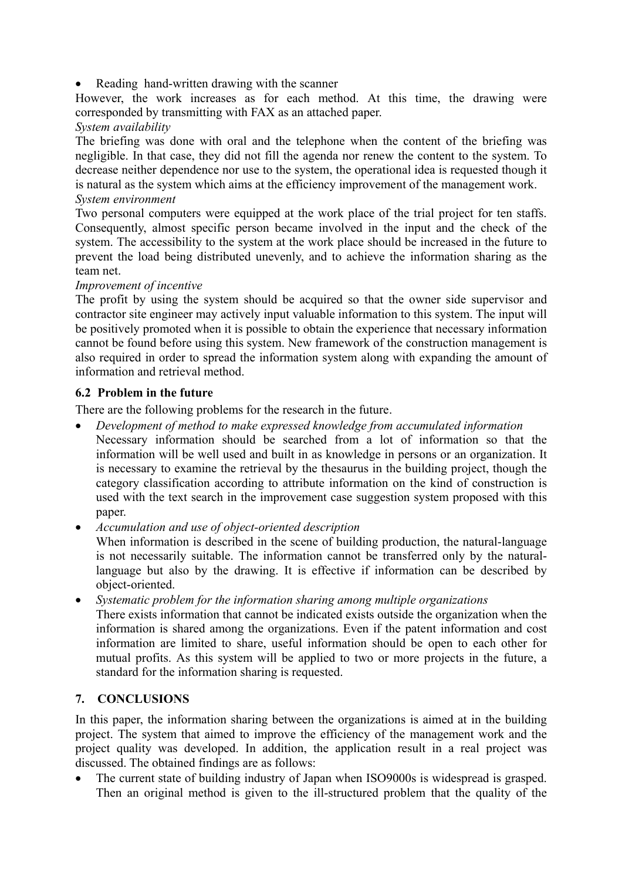• Reading hand-written drawing with the scanner

However, the work increases as for each method. At this time, the drawing were corresponded by transmitting with FAX as an attached paper.

#### *System availability*

The briefing was done with oral and the telephone when the content of the briefing was negligible. In that case, they did not fill the agenda nor renew the content to the system. To decrease neither dependence nor use to the system, the operational idea is requested though it is natural as the system which aims at the efficiency improvement of the management work. *System environment* 

Two personal computers were equipped at the work place of the trial project for ten staffs. Consequently, almost specific person became involved in the input and the check of the system. The accessibility to the system at the work place should be increased in the future to prevent the load being distributed unevenly, and to achieve the information sharing as the team net.

#### *Impr ovement of incentive*

The profit by using the system should be acquired so that the owner side supervisor and contractor site engineer may actively input valuable information to this system. The input will be positively promoted when it is possible to obtain the experience that necessary information cannot be found before using this system. New framework of the construction management is also required in order to spread the information system along with expanding the amount of information and retrieval method.

## **6.2 Problem in the future**

There are the following problems for the research in the future.

- *Development of method to make expressed knowledge from accumulated information*  Necessary information should be searched from a lot of information so that the information will be well used and built in as knowledge in persons or an organization. It is necessary to examine the retrieval by the thesaurus in the building project, though the category classification according to attribute information on the kind of construction is used with the text search in the improvement case suggestion system proposed with this paper.
- *Accumulation and use of object-oriented description*

When information is described in the scene of building production, the natural-language is not necessarily suitable. The information cannot be transferred only by the naturallanguage but also by the drawing. It is effective if information can be described by object-oriented.

• *Systematic problem for the information sharing among multiple organizations*  There exists information that cannot be indicated exists outside the organization when the information is shared among the organizations. Even if the patent information and cost information are limited to share, useful information should be open to each other for mutual profits. As this system will be applied to two or more projects in the future, a standard for the information sharing is requested.

## **7. CONCLUSIONS**

In this paper, the information sharing between the organizations is aimed at in the building project. The system that aimed to improve the efficiency of the management work and the project quality was developed. In addition, the application result in a real project was discussed. The obtained findings are as follows:

 $\bullet$ The current state of building industry of Japan when ISO9000s is widespread is grasped. Then an original method is given to the ill-structured problem that the quality of the